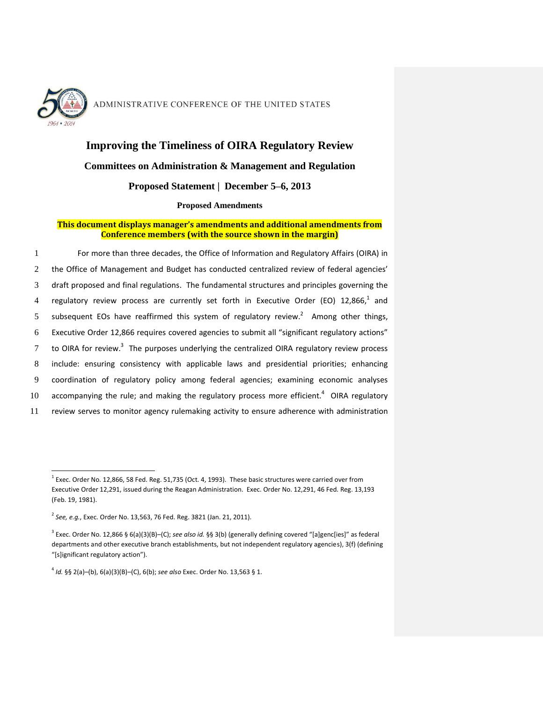

l

# ADMINISTRATIVE CONFERENCE OF THE UNITED STATES

## **Improving the Timeliness of OIRA Regulatory Review**

#### **Committees on Administration & Management and Regulation**

### **Proposed Statement | December 5–6, 2013**

#### **Proposed Amendments**

#### **This document displays manager's amendments and additional amendments from Conference members (with the source shown in the margin)**

1 For more than three decades, the Office of Information and Regulatory Affairs (OIRA) in the Office of Management and Budget has conducted centralized review of federal agencies' draft proposed and final regulations. The fundamental structures and principles governing the 4 regulatory review process are currently set forth in Executive Order (EO)  $12,866,1$  and 5 subsequent EOs have reaffirmed this system of regulatory review.<sup>2</sup> Among other things, Executive Order 12,866 requires covered agencies to submit all "significant regulatory actions" to OIRA for review.<sup>3</sup> The purposes underlying the centralized OIRA regulatory review process include: ensuring consistency with applicable laws and presidential priorities; enhancing coordination of regulatory policy among federal agencies; examining economic analyses 10 accompanying the rule; and making the regulatory process more efficient. $4$  OIRA regulatory review serves to monitor agency rulemaking activity to ensure adherence with administration

 $^{1}$  Exec. Order No. 12,866, 58 Fed. Reg. 51,735 (Oct. 4, 1993). These basic structures were carried over from Executive Order 12,291, issued during the Reagan Administration. Exec. Order No. 12,291, 46 Fed. Reg. 13,193 (Feb. 19, 1981).

<sup>2</sup> *See, e.g.*, Exec. Order No. 13,563, 76 Fed. Reg. 3821 (Jan. 21, 2011).

<sup>3</sup> Exec. Order No. 12,866 § 6(a)(3)(B)–(C); *see also id.* §§ 3(b) (generally defining covered "[a]genc[ies]" as federal departments and other executive branch establishments, but not independent regulatory agencies), 3(f) (defining "[s]ignificant regulatory action").

<sup>4</sup> *Id.* §§ 2(a)–(b), 6(a)(3)(B)–(C), 6(b); *see also* Exec. Order No. 13,563 § 1.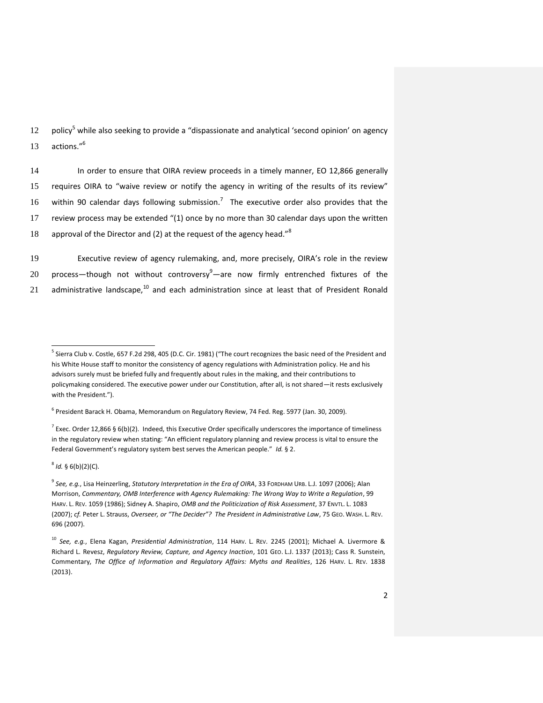12 policy<sup>5</sup> while also seeking to provide a "dispassionate and analytical 'second opinion' on agency actions." 6 13

14 In order to ensure that OIRA review proceeds in a timely manner, EO 12,866 generally 15 requires OIRA to "waive review or notify the agency in writing of the results of its review" 16 within 90 calendar days following submission.<sup>7</sup> The executive order also provides that the 17 review process may be extended "(1) once by no more than 30 calendar days upon the written approval of the Director and (2) at the request of the agency head."<sup>8</sup> 18

19 Executive review of agency rulemaking, and, more precisely, OIRA's role in the review 20 process—though not without controversy $9$ —are now firmly entrenched fixtures of the 21 administrative landscape, $^{10}$  and each administration since at least that of President Ronald

 $^7$  Exec. Order 12,866 § 6(b)(2). Indeed, this Executive Order specifically underscores the importance of timeliness in the regulatory review when stating: "An efficient regulatory planning and review process is vital to ensure the Federal Government's regulatory system best serves the American people." *Id.* § 2.

8 *Id.* § 6(b)(2)(C).

<sup>5</sup> Sierra Club v. Costle, 657 F.2d 298, 405 (D.C. Cir. 1981) ("The court recognizes the basic need of the President and his White House staff to monitor the consistency of agency regulations with Administration policy. He and his advisors surely must be briefed fully and frequently about rules in the making, and their contributions to policymaking considered. The executive power under our Constitution, after all, is not shared—it rests exclusively with the President.").

<sup>&</sup>lt;sup>6</sup> President Barack H. Obama, Memorandum on Regulatory Review, 74 Fed. Reg. 5977 (Jan. 30, 2009).

<sup>9</sup> *See, e.g.*, Lisa Heinzerling, *Statutory Interpretation in the Era of OIRA*, 33 FORDHAM URB. L.J. 1097 (2006); Alan Morrison, *Commentary, OMB Interference with Agency Rulemaking: The Wrong Way to Write a Regulation*, 99 HARV. L. REV. 1059 (1986); Sidney A. Shapiro, *OMB and the Politicization of Risk Assessment*, 37 ENVTL. L. 1083 (2007); *cf.* Peter L. Strauss, *Overseer, or "The Decider"? The President in Administrative Law*, 75 GEO. WASH. L. REV. 696 (2007).

<sup>10</sup> *See, e.g.*, Elena Kagan, *Presidential Administration*, 114 HARV. L. REV. 2245 (2001); Michael A. Livermore & Richard L. Revesz, *Regulatory Review, Capture, and Agency Inaction*, 101 GEO. L.J. 1337 (2013); Cass R. Sunstein, Commentary, *The Office of Information and Regulatory Affairs: Myths and Realities*, 126 HARV. L. REV. 1838 (2013).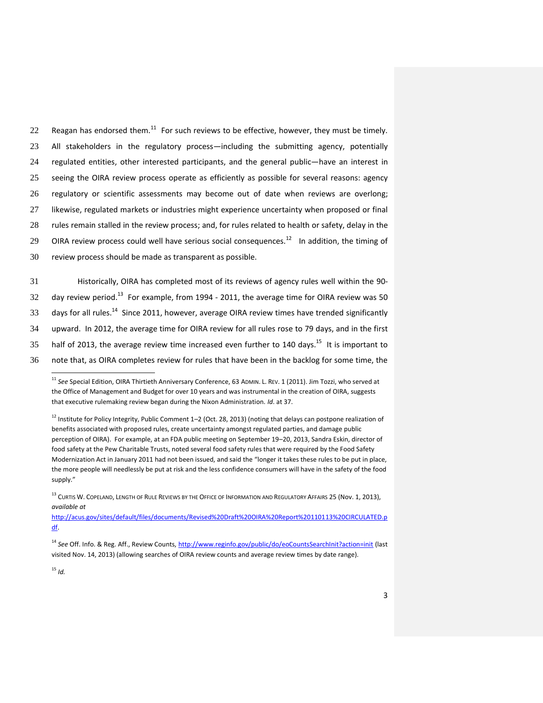22 Reagan has endorsed them.<sup>11</sup> For such reviews to be effective, however, they must be timely. All stakeholders in the regulatory process—including the submitting agency, potentially regulated entities, other interested participants, and the general public—have an interest in seeing the OIRA review process operate as efficiently as possible for several reasons: agency regulatory or scientific assessments may become out of date when reviews are overlong; likewise, regulated markets or industries might experience uncertainty when proposed or final rules remain stalled in the review process; and, for rules related to health or safety, delay in the OIRA review process could well have serious social consequences.<sup>12</sup> In addition, the timing of review process should be made as transparent as possible.

 Historically, OIRA has completed most of its reviews of agency rules well within the 90- 32 day review period.<sup>13</sup> For example, from 1994 - 2011, the average time for OIRA review was 50 days for all rules.<sup>14</sup> Since 2011, however, average OIRA review times have trended significantly upward. In 2012, the average time for OIRA review for all rules rose to 79 days, and in the first 35 half of 2013, the average review time increased even further to 140 days.<sup>15</sup> It is important to note that, as OIRA completes review for rules that have been in the backlog for some time, the

<sup>15</sup> *Id.*

<sup>11</sup> *See* Special Edition, OIRA Thirtieth Anniversary Conference, 63 ADMIN. L. REV. 1 (2011). Jim Tozzi, who served at the Office of Management and Budget for over 10 years and was instrumental in the creation of OIRA, suggests that executive rulemaking review began during the Nixon Administration. *Id*. at 37.

 $12$  Institute for Policy Integrity, Public Comment 1–2 (Oct. 28, 2013) (noting that delays can postpone realization of benefits associated with proposed rules, create uncertainty amongst regulated parties, and damage public perception of OIRA). For example, at an FDA public meeting on September 19–20, 2013, Sandra Eskin, director of food safety at the Pew Charitable Trusts, noted several food safety rules that were required by the Food Safety Modernization Act in January 2011 had not been issued, and said the "longer it takes these rules to be put in place, the more people will needlessly be put at risk and the less confidence consumers will have in the safety of the food supply."

<sup>&</sup>lt;sup>13</sup> CURTIS W. COPELAND, LENGTH OF RULE REVIEWS BY THE OFFICE OF INFORMATION AND REGULATORY AFFAIRS 25 (NOV. 1, 2013), *available at*

[http://acus.gov/sites/default/files/documents/Revised%20Draft%20OIRA%20Report%20110113%20CIRCULATED.p](http://acus.gov/sites/default/files/documents/Revised%20Draft%20OIRA%20Report%20110113%20CIRCULATED.pdf) [df.](http://acus.gov/sites/default/files/documents/Revised%20Draft%20OIRA%20Report%20110113%20CIRCULATED.pdf)

<sup>14</sup> *See* Off. Info. & Reg. Aff., Review Counts[, http://www.reginfo.gov/public/do/eoCountsSearchInit?action=init](http://www.reginfo.gov/public/do/eoCountsSearchInit?action=init) (last visited Nov. 14, 2013) (allowing searches of OIRA review counts and average review times by date range).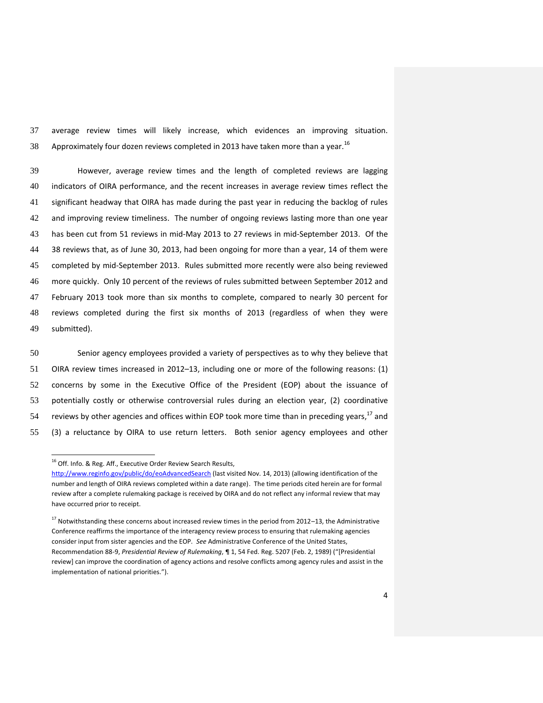37 average review times will likely increase, which evidences an improving situation. 38 Approximately four dozen reviews completed in 2013 have taken more than a year.<sup>16</sup>

 However, average review times and the length of completed reviews are lagging indicators of OIRA performance, and the recent increases in average review times reflect the significant headway that OIRA has made during the past year in reducing the backlog of rules and improving review timeliness. The number of ongoing reviews lasting more than one year has been cut from 51 reviews in mid-May 2013 to 27 reviews in mid-September 2013. Of the 38 reviews that, as of June 30, 2013, had been ongoing for more than a year, 14 of them were completed by mid-September 2013. Rules submitted more recently were also being reviewed more quickly. Only 10 percent of the reviews of rules submitted between September 2012 and February 2013 took more than six months to complete, compared to nearly 30 percent for reviews completed during the first six months of 2013 (regardless of when they were submitted).

 Senior agency employees provided a variety of perspectives as to why they believe that OIRA review times increased in 2012–13, including one or more of the following reasons: (1) concerns by some in the Executive Office of the President (EOP) about the issuance of potentially costly or otherwise controversial rules during an election year, (2) coordinative 54 reviews by other agencies and offices within EOP took more time than in preceding years,<sup>17</sup> and (3) a reluctance by OIRA to use return letters. Both senior agency employees and other

<sup>&</sup>lt;sup>16</sup> Off. Info. & Reg. Aff., Executive Order Review Search Results,

<http://www.reginfo.gov/public/do/eoAdvancedSearch> (last visited Nov. 14, 2013) (allowing identification of the number and length of OIRA reviews completed within a date range). The time periods cited herein are for formal review after a complete rulemaking package is received by OIRA and do not reflect any informal review that may have occurred prior to receipt.

 $17$  Notwithstanding these concerns about increased review times in the period from 2012–13, the Administrative Conference reaffirms the importance of the interagency review process to ensuring that rulemaking agencies consider input from sister agencies and the EOP. *See* Administrative Conference of the United States, Recommendation 88-9, *Presidential Review of Rulemaking*, ¶ 1, 54 Fed. Reg. 5207 (Feb. 2, 1989) ("[Presidential review] can improve the coordination of agency actions and resolve conflicts among agency rules and assist in the implementation of national priorities.").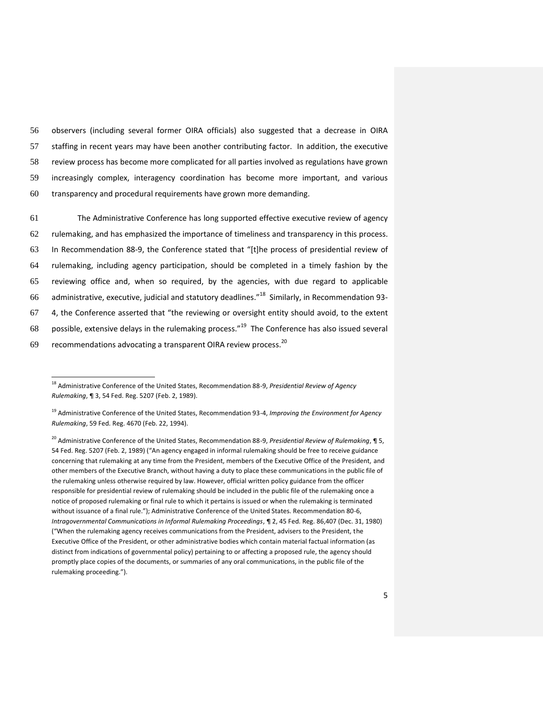observers (including several former OIRA officials) also suggested that a decrease in OIRA staffing in recent years may have been another contributing factor. In addition, the executive review process has become more complicated for all parties involved as regulations have grown increasingly complex, interagency coordination has become more important, and various transparency and procedural requirements have grown more demanding.

 The Administrative Conference has long supported effective executive review of agency rulemaking, and has emphasized the importance of timeliness and transparency in this process. In Recommendation 88-9, the Conference stated that "[t]he process of presidential review of rulemaking, including agency participation, should be completed in a timely fashion by the reviewing office and, when so required, by the agencies, with due regard to applicable 66 administrative, executive, judicial and statutory deadlines."<sup>18</sup> Similarly, in Recommendation 93- 4, the Conference asserted that "the reviewing or oversight entity should avoid, to the extent 68 possible, extensive delays in the rulemaking process." $19$  The Conference has also issued several 69 recommendations advocating a transparent OIRA review process.<sup>20</sup>

<sup>18</sup> Administrative Conference of the United States, Recommendation 88-9, *Presidential Review of Agency Rulemaking*, ¶ 3, 54 Fed. Reg. 5207 (Feb. 2, 1989).

<sup>19</sup> Administrative Conference of the United States, Recommendation 93-4, *Improving the Environment for Agency Rulemaking*, 59 Fed. Reg. 4670 (Feb. 22, 1994).

<sup>20</sup> Administrative Conference of the United States, Recommendation 88-9, *Presidential Review of Rulemaking*, ¶ 5, 54 Fed. Reg. 5207 (Feb. 2, 1989) ("An agency engaged in informal rulemaking should be free to receive guidance concerning that rulemaking at any time from the President, members of the Executive Office of the President, and other members of the Executive Branch, without having a duty to place these communications in the public file of the rulemaking unless otherwise required by law. However, official written policy guidance from the officer responsible for presidential review of rulemaking should be included in the public file of the rulemaking once a notice of proposed rulemaking or final rule to which it pertains is issued or when the rulemaking is terminated without issuance of a final rule."); Administrative Conference of the United States. Recommendation 80-6, *Intragovernmental Communications in Informal Rulemaking Proceedings*, ¶ 2, 45 Fed. Reg. 86,407 (Dec. 31, 1980) ("When the rulemaking agency receives communications from the President, advisers to the President, the Executive Office of the President, or other administrative bodies which contain material factual information (as distinct from indications of governmental policy) pertaining to or affecting a proposed rule, the agency should promptly place copies of the documents, or summaries of any oral communications, in the public file of the rulemaking proceeding.").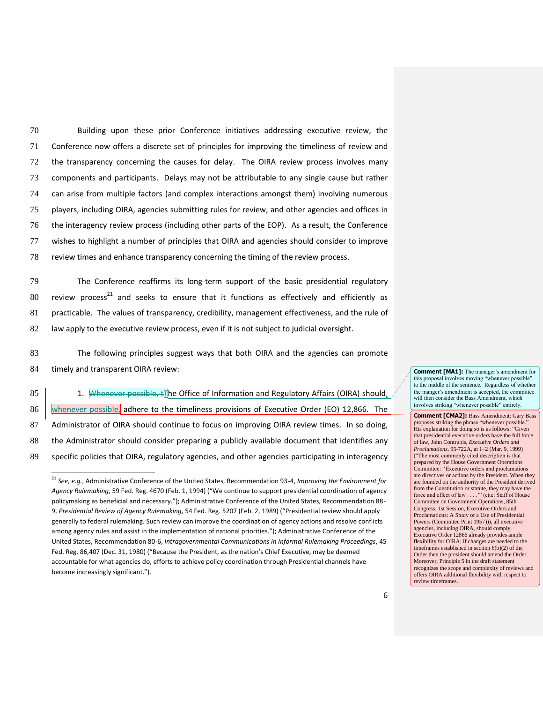Building upon these prior Conference initiatives addressing executive review, the Conference now offers a discrete set of principles for improving the timeliness of review and the transparency concerning the causes for delay. The OIRA review process involves many components and participants. Delays may not be attributable to any single cause but rather can arise from multiple factors (and complex interactions amongst them) involving numerous players, including OIRA, agencies submitting rules for review, and other agencies and offices in the interagency review process (including other parts of the EOP). As a result, the Conference wishes to highlight a number of principles that OIRA and agencies should consider to improve review times and enhance transparency concerning the timing of the review process.

79 The Conference reaffirms its long-term support of the basic presidential regulatory 80 review process<sup>21</sup> and seeks to ensure that it functions as effectively and efficiently as 81 practicable. The values of transparency, credibility, management effectiveness, and the rule of 82 law apply to the executive review process, even if it is not subject to judicial oversight.

83 The following principles suggest ways that both OIRA and the agencies can promote 84 timely and transparent OIRA review:

85 1. Whenever possible,  $\pm\pi$  he Office of Information and Regulatory Affairs (OIRA) should, 86 whenever possible, adhere to the timeliness provisions of Executive Order (EO) 12,866. The 87 Administrator of OIRA should continue to focus on improving OIRA review times. In so doing, 88 the Administrator should consider preparing a publicly available document that identifies any 89 specific policies that OIRA, regulatory agencies, and other agencies participating in interagency

l

**Comment [MA1]:** The manager's amendment for this proposal involves moving "whenever possible" to the middle of the sentence. Regardless of whether the manger's amendment is accepted, the committee will then consider the Bass Amendment, which involves striking "whenever possible" entirely.

**Comment [CMA2]:** Bass Amendment: Gary Bass proposes striking the phrase "whenever possible." His explanation for doing so is as follows: "Given that presidential executive orders have the full force of law, John Contrubis, *Executive Orders and Proclamations*, 95-722A, at 1–2 (Mar. 9, 1999) ("The most commonly cited description is that prepared by the House Government Operations Committee: 'Executive orders and proclamations are directives or actions by the President. When they are founded on the authority of the President derived from the Constitution or statute, they may have the force and effect of law . . . .'" (cite: Staff of House Committee on Government Operations, 85th Congress, 1st Session, Executive Orders and Proclamations: A Study of a Use of Presidential Powers (Committee Print 1957))), all executive agencies, including OIRA, should comply. Executive Order 12866 already provides ample flexibility for OIRA; if changes are needed to the timeframes established in section 6(b)(2) of the Order then the president should amend the Order. Moreover, Principle 5 in the draft statement recognizes the scope and complexity of reviews and offers OIRA additional flexibility with respect to review timeframes.

<sup>21</sup> *See, e.g.*, Administrative Conference of the United States, Recommendation 93-4, *Improving the Environment for Agency Rulemaking*, 59 Fed. Reg. 4670 (Feb. 1, 1994) ("We continue to support presidential coordination of agency policymaking as beneficial and necessary."); Administrative Conference of the United States, Recommendation 88- 9, *Presidential Review of Agency Rulemaking*, 54 Fed. Reg. 5207 (Feb. 2, 1989) ("Presidential review should apply generally to federal rulemaking. Such review can improve the coordination of agency actions and resolve conflicts among agency rules and assist in the implementation of national priorities."); Administrative Conference of the United States, Recommendation 80-6, *Intragovernmental Communications in Informal Rulemaking Proceedings*, 45 Fed. Reg. 86,407 (Dec. 31, 1980) ("Because the President, as the nation's Chief Executive, may be deemed accountable for what agencies do, efforts to achieve policy coordination through Presidential channels have become increasingly significant.").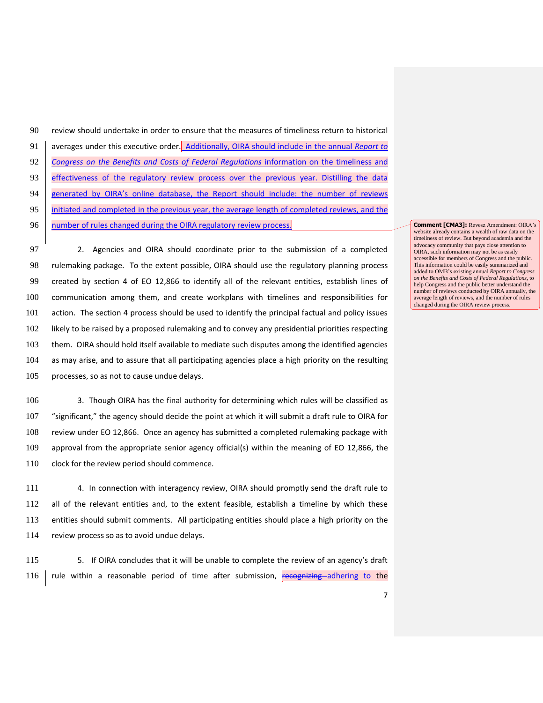| 90 | review should undertake in order to ensure that the measures of timeliness return to historical |
|----|-------------------------------------------------------------------------------------------------|
| 91 | averages under this executive order. Additionally, OIRA should include in the annual Report to  |
| 92 | Congress on the Benefits and Costs of Federal Regulations information on the timeliness and     |
| 93 | effectiveness of the regulatory review process over the previous year. Distilling the data      |
| 94 | generated by OIRA's online database, the Report should include: the number of reviews           |
| 95 | initiated and completed in the previous year, the average length of completed reviews, and the  |
| 96 | number of rules changed during the OIRA regulatory review process.                              |

 2. Agencies and OIRA should coordinate prior to the submission of a completed rulemaking package. To the extent possible, OIRA should use the regulatory planning process created by section 4 of EO 12,866 to identify all of the relevant entities, establish lines of communication among them, and create workplans with timelines and responsibilities for action. The section 4 process should be used to identify the principal factual and policy issues likely to be raised by a proposed rulemaking and to convey any presidential priorities respecting them. OIRA should hold itself available to mediate such disputes among the identified agencies as may arise, and to assure that all participating agencies place a high priority on the resulting processes, so as not to cause undue delays.

 3. Though OIRA has the final authority for determining which rules will be classified as "significant," the agency should decide the point at which it will submit a draft rule to OIRA for review under EO 12,866. Once an agency has submitted a completed rulemaking package with approval from the appropriate senior agency official(s) within the meaning of EO 12,866, the 110 clock for the review period should commence.

 4. In connection with interagency review, OIRA should promptly send the draft rule to all of the relevant entities and, to the extent feasible, establish a timeline by which these entities should submit comments. All participating entities should place a high priority on the review process so as to avoid undue delays.

115 5. If OIRA concludes that it will be unable to complete the review of an agency's draft 116 | rule within a reasonable period of time after submission, recognizing adhering to the

**Comment [CMA3]:** Revesz Amendment: OIRA's website already contains a wealth of raw data on the timeliness of review. But beyond academia and the advocacy community that pays close attention to OIRA, such information may not be as easily accessible for members of Congress and the public. This information could be easily summarized and added to OMB's existing annual *Report to Congress on the Benefits and Costs of Federal Regulations*, to help Congress and the public better understand the number of reviews conducted by OIRA annually, the average length of reviews, and the number of rules changed during the OIRA review process.